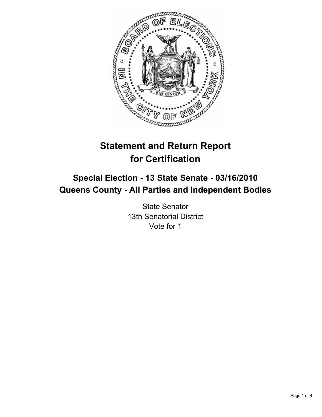

# **Statement and Return Report for Certification**

# **Special Election - 13 State Senate - 03/16/2010 Queens County - All Parties and Independent Bodies**

State Senator 13th Senatorial District Vote for 1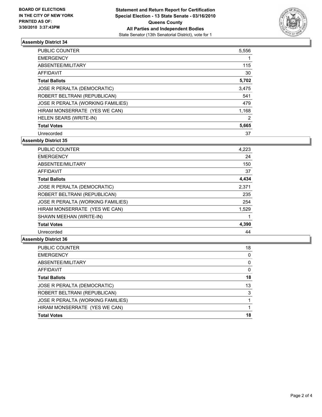

## **Assembly District 34**

| <b>PUBLIC COUNTER</b>             | 5,556 |
|-----------------------------------|-------|
| <b>EMERGENCY</b>                  |       |
| ABSENTEE/MILITARY                 | 115   |
| <b>AFFIDAVIT</b>                  | 30    |
| <b>Total Ballots</b>              | 5,702 |
| JOSE R PERALTA (DEMOCRATIC)       | 3,475 |
| ROBERT BELTRANI (REPUBLICAN)      | 541   |
| JOSE R PERALTA (WORKING FAMILIES) | 479   |
| HIRAM MONSERRATE (YES WE CAN)     | 1,168 |
| <b>HELEN SEARS (WRITE-IN)</b>     | 2     |
| <b>Total Votes</b>                | 5,665 |
| Unrecorded                        | 37    |

**Assembly District 35**

| <b>PUBLIC COUNTER</b>             | 4,223 |
|-----------------------------------|-------|
| <b>EMERGENCY</b>                  | 24    |
| ABSENTEE/MILITARY                 | 150   |
| <b>AFFIDAVIT</b>                  | 37    |
| <b>Total Ballots</b>              | 4,434 |
| JOSE R PERALTA (DEMOCRATIC)       | 2,371 |
| ROBERT BELTRANI (REPUBLICAN)      | 235   |
| JOSE R PERALTA (WORKING FAMILIES) | 254   |
| HIRAM MONSERRATE (YES WE CAN)     | 1,529 |
| SHAWN MEEHAN (WRITE-IN)           |       |
| <b>Total Votes</b>                | 4,390 |
| Unrecorded                        | 44    |

#### **Assembly District 36**

| <b>PUBLIC COUNTER</b>             | 18 |
|-----------------------------------|----|
| <b>EMERGENCY</b>                  | 0  |
| ABSENTEE/MILITARY                 | 0  |
| AFFIDAVIT                         | 0  |
| <b>Total Ballots</b>              | 18 |
| JOSE R PERALTA (DEMOCRATIC)       | 13 |
| ROBERT BELTRANI (REPUBLICAN)      | 3  |
| JOSE R PERALTA (WORKING FAMILIES) |    |
| HIRAM MONSERRATE (YES WE CAN)     |    |
| <b>Total Votes</b>                | 18 |
|                                   |    |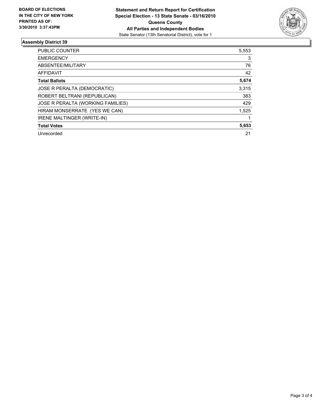

## **Assembly District 39**

| <b>PUBLIC COUNTER</b>             | 5,553 |
|-----------------------------------|-------|
| <b>EMERGENCY</b>                  | 3     |
| ABSENTEE/MILITARY                 | 76    |
| <b>AFFIDAVIT</b>                  | 42    |
| <b>Total Ballots</b>              | 5,674 |
| JOSE R PERALTA (DEMOCRATIC)       | 3,315 |
| ROBERT BELTRANI (REPUBLICAN)      | 383   |
| JOSE R PERALTA (WORKING FAMILIES) | 429   |
| HIRAM MONSERRATE (YES WE CAN)     | 1,525 |
| <b>IRENE MALTINGER (WRITE-IN)</b> |       |
| <b>Total Votes</b>                | 5,653 |
| Unrecorded                        | 21    |